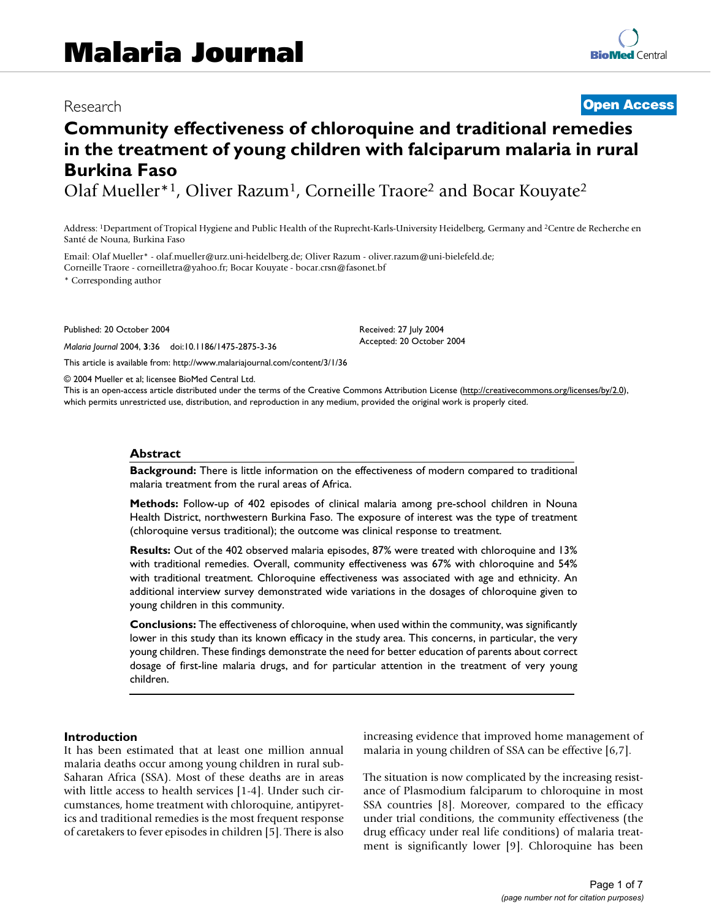# Research **[Open Access](http://www.biomedcentral.com/info/about/charter/)**

# **Community effectiveness of chloroquine and traditional remedies in the treatment of young children with falciparum malaria in rural Burkina Faso**

Olaf Mueller\*1, Oliver Razum1, Corneille Traore2 and Bocar Kouyate2

Address: 1Department of Tropical Hygiene and Public Health of the Ruprecht-Karls-University Heidelberg, Germany and 2Centre de Recherche en Santé de Nouna, Burkina Faso

Email: Olaf Mueller\* - olaf.mueller@urz.uni-heidelberg.de; Oliver Razum - oliver.razum@uni-bielefeld.de; Corneille Traore - corneilletra@yahoo.fr; Bocar Kouyate - bocar.crsn@fasonet.bf

\* Corresponding author

Published: 20 October 2004

*Malaria Journal* 2004, **3**:36 doi:10.1186/1475-2875-3-36

[This article is available from: http://www.malariajournal.com/content/3/1/36](http://www.malariajournal.com/content/3/1/36)

© 2004 Mueller et al; licensee BioMed Central Ltd.

This is an open-access article distributed under the terms of the Creative Commons Attribution License (<http://creativecommons.org/licenses/by/2.0>), which permits unrestricted use, distribution, and reproduction in any medium, provided the original work is properly cited.

Received: 27 July 2004 Accepted: 20 October 2004

#### **Abstract**

**Background:** There is little information on the effectiveness of modern compared to traditional malaria treatment from the rural areas of Africa.

**Methods:** Follow-up of 402 episodes of clinical malaria among pre-school children in Nouna Health District, northwestern Burkina Faso. The exposure of interest was the type of treatment (chloroquine versus traditional); the outcome was clinical response to treatment.

**Results:** Out of the 402 observed malaria episodes, 87% were treated with chloroquine and 13% with traditional remedies. Overall, community effectiveness was 67% with chloroquine and 54% with traditional treatment. Chloroquine effectiveness was associated with age and ethnicity. An additional interview survey demonstrated wide variations in the dosages of chloroquine given to young children in this community.

**Conclusions:** The effectiveness of chloroquine, when used within the community, was significantly lower in this study than its known efficacy in the study area. This concerns, in particular, the very young children. These findings demonstrate the need for better education of parents about correct dosage of first-line malaria drugs, and for particular attention in the treatment of very young children.

#### **Introduction**

It has been estimated that at least one million annual malaria deaths occur among young children in rural sub-Saharan Africa (SSA). Most of these deaths are in areas with little access to health services [1-4]. Under such circumstances, home treatment with chloroquine, antipyretics and traditional remedies is the most frequent response of caretakers to fever episodes in children [5]. There is also increasing evidence that improved home management of malaria in young children of SSA can be effective [6,7].

The situation is now complicated by the increasing resistance of Plasmodium falciparum to chloroquine in most SSA countries [8]. Moreover, compared to the efficacy under trial conditions, the community effectiveness (the drug efficacy under real life conditions) of malaria treatment is significantly lower [9]. Chloroquine has been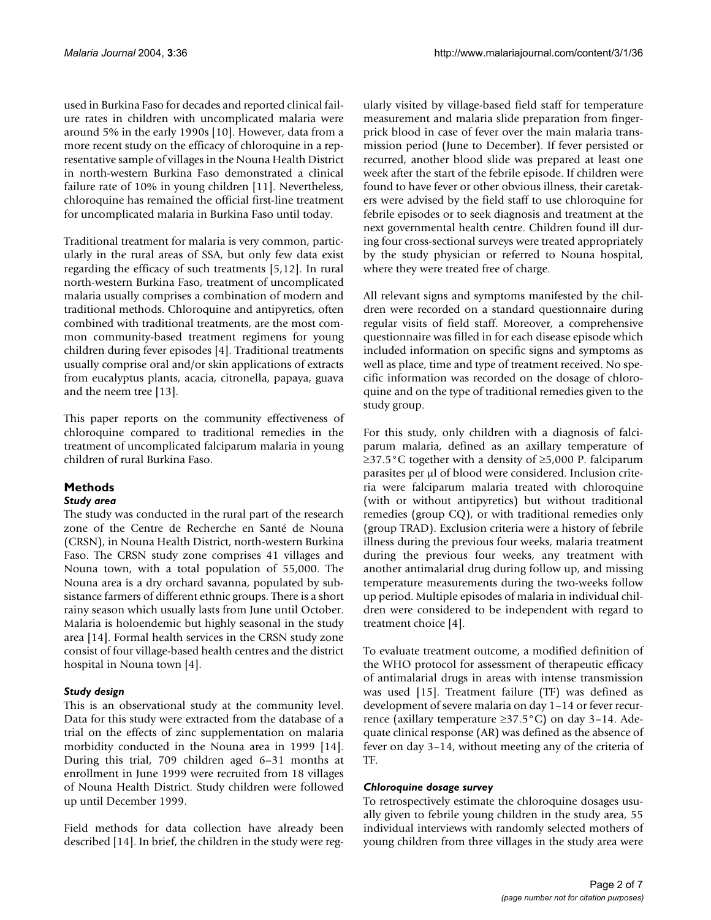used in Burkina Faso for decades and reported clinical failure rates in children with uncomplicated malaria were around 5% in the early 1990s [10]. However, data from a more recent study on the efficacy of chloroquine in a representative sample of villages in the Nouna Health District in north-western Burkina Faso demonstrated a clinical failure rate of 10% in young children [11]. Nevertheless, chloroquine has remained the official first-line treatment for uncomplicated malaria in Burkina Faso until today.

Traditional treatment for malaria is very common, particularly in the rural areas of SSA, but only few data exist regarding the efficacy of such treatments [5,12]. In rural north-western Burkina Faso, treatment of uncomplicated malaria usually comprises a combination of modern and traditional methods. Chloroquine and antipyretics, often combined with traditional treatments, are the most common community-based treatment regimens for young children during fever episodes [4]. Traditional treatments usually comprise oral and/or skin applications of extracts from eucalyptus plants, acacia, citronella, papaya, guava and the neem tree [13].

This paper reports on the community effectiveness of chloroquine compared to traditional remedies in the treatment of uncomplicated falciparum malaria in young children of rural Burkina Faso.

# **Methods**

## *Study area*

The study was conducted in the rural part of the research zone of the Centre de Recherche en Santé de Nouna (CRSN), in Nouna Health District, north-western Burkina Faso. The CRSN study zone comprises 41 villages and Nouna town, with a total population of 55,000. The Nouna area is a dry orchard savanna, populated by subsistance farmers of different ethnic groups. There is a short rainy season which usually lasts from June until October. Malaria is holoendemic but highly seasonal in the study area [14]. Formal health services in the CRSN study zone consist of four village-based health centres and the district hospital in Nouna town [4].

# *Study design*

This is an observational study at the community level. Data for this study were extracted from the database of a trial on the effects of zinc supplementation on malaria morbidity conducted in the Nouna area in 1999 [14]. During this trial, 709 children aged 6–31 months at enrollment in June 1999 were recruited from 18 villages of Nouna Health District. Study children were followed up until December 1999.

Field methods for data collection have already been described [14]. In brief, the children in the study were regularly visited by village-based field staff for temperature measurement and malaria slide preparation from fingerprick blood in case of fever over the main malaria transmission period (June to December). If fever persisted or recurred, another blood slide was prepared at least one week after the start of the febrile episode. If children were found to have fever or other obvious illness, their caretakers were advised by the field staff to use chloroquine for febrile episodes or to seek diagnosis and treatment at the next governmental health centre. Children found ill during four cross-sectional surveys were treated appropriately by the study physician or referred to Nouna hospital, where they were treated free of charge.

All relevant signs and symptoms manifested by the children were recorded on a standard questionnaire during regular visits of field staff. Moreover, a comprehensive questionnaire was filled in for each disease episode which included information on specific signs and symptoms as well as place, time and type of treatment received. No specific information was recorded on the dosage of chloroquine and on the type of traditional remedies given to the study group.

For this study, only children with a diagnosis of falciparum malaria, defined as an axillary temperature of ≥37.5°C together with a density of ≥5,000 P. falciparum parasites per µl of blood were considered. Inclusion criteria were falciparum malaria treated with chloroquine (with or without antipyretics) but without traditional remedies (group CQ), or with traditional remedies only (group TRAD). Exclusion criteria were a history of febrile illness during the previous four weeks, malaria treatment during the previous four weeks, any treatment with another antimalarial drug during follow up, and missing temperature measurements during the two-weeks follow up period. Multiple episodes of malaria in individual children were considered to be independent with regard to treatment choice [4].

To evaluate treatment outcome, a modified definition of the WHO protocol for assessment of therapeutic efficacy of antimalarial drugs in areas with intense transmission was used [15]. Treatment failure (TF) was defined as development of severe malaria on day 1–14 or fever recurrence (axillary temperature ≥37.5°C) on day 3–14. Adequate clinical response (AR) was defined as the absence of fever on day 3–14, without meeting any of the criteria of TF.

## *Chloroquine dosage survey*

To retrospectively estimate the chloroquine dosages usually given to febrile young children in the study area, 55 individual interviews with randomly selected mothers of young children from three villages in the study area were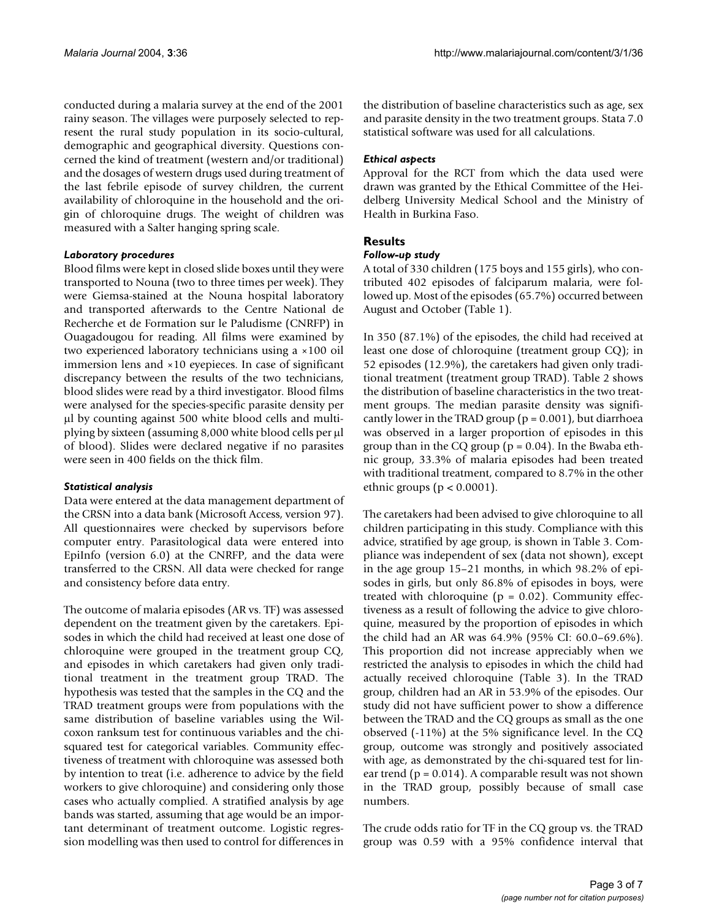conducted during a malaria survey at the end of the 2001 rainy season. The villages were purposely selected to represent the rural study population in its socio-cultural, demographic and geographical diversity. Questions concerned the kind of treatment (western and/or traditional) and the dosages of western drugs used during treatment of the last febrile episode of survey children, the current availability of chloroquine in the household and the origin of chloroquine drugs. The weight of children was measured with a Salter hanging spring scale.

#### *Laboratory procedures*

Blood films were kept in closed slide boxes until they were transported to Nouna (two to three times per week). They were Giemsa-stained at the Nouna hospital laboratory and transported afterwards to the Centre National de Recherche et de Formation sur le Paludisme (CNRFP) in Ouagadougou for reading. All films were examined by two experienced laboratory technicians using a ×100 oil immersion lens and ×10 eyepieces. In case of significant discrepancy between the results of the two technicians, blood slides were read by a third investigator. Blood films were analysed for the species-specific parasite density per µl by counting against 500 white blood cells and multiplying by sixteen (assuming 8,000 white blood cells per µl of blood). Slides were declared negative if no parasites were seen in 400 fields on the thick film.

## *Statistical analysis*

Data were entered at the data management department of the CRSN into a data bank (Microsoft Access, version 97). All questionnaires were checked by supervisors before computer entry. Parasitological data were entered into EpiInfo (version 6.0) at the CNRFP, and the data were transferred to the CRSN. All data were checked for range and consistency before data entry.

The outcome of malaria episodes (AR vs. TF) was assessed dependent on the treatment given by the caretakers. Episodes in which the child had received at least one dose of chloroquine were grouped in the treatment group CQ, and episodes in which caretakers had given only traditional treatment in the treatment group TRAD. The hypothesis was tested that the samples in the CQ and the TRAD treatment groups were from populations with the same distribution of baseline variables using the Wilcoxon ranksum test for continuous variables and the chisquared test for categorical variables. Community effectiveness of treatment with chloroquine was assessed both by intention to treat (i.e. adherence to advice by the field workers to give chloroquine) and considering only those cases who actually complied. A stratified analysis by age bands was started, assuming that age would be an important determinant of treatment outcome. Logistic regression modelling was then used to control for differences in the distribution of baseline characteristics such as age, sex and parasite density in the two treatment groups. Stata 7.0 statistical software was used for all calculations.

#### *Ethical aspects*

Approval for the RCT from which the data used were drawn was granted by the Ethical Committee of the Heidelberg University Medical School and the Ministry of Health in Burkina Faso.

# **Results**

#### *Follow-up study*

A total of 330 children (175 boys and 155 girls), who contributed 402 episodes of falciparum malaria, were followed up. Most of the episodes (65.7%) occurred between August and October (Table [1\)](#page-3-0).

In 350 (87.1%) of the episodes, the child had received at least one dose of chloroquine (treatment group CQ); in 52 episodes (12.9%), the caretakers had given only traditional treatment (treatment group TRAD). Table [2](#page-3-1) shows the distribution of baseline characteristics in the two treatment groups. The median parasite density was significantly lower in the TRAD group ( $p = 0.001$ ), but diarrhoea was observed in a larger proportion of episodes in this group than in the CQ group ( $p = 0.04$ ). In the Bwaba ethnic group, 33.3% of malaria episodes had been treated with traditional treatment, compared to 8.7% in the other ethnic groups ( $p < 0.0001$ ).

The caretakers had been advised to give chloroquine to all children participating in this study. Compliance with this advice, stratified by age group, is shown in Table [3](#page-3-2). Compliance was independent of sex (data not shown), except in the age group 15–21 months, in which 98.2% of episodes in girls, but only 86.8% of episodes in boys, were treated with chloroquine ( $p = 0.02$ ). Community effectiveness as a result of following the advice to give chloroquine, measured by the proportion of episodes in which the child had an AR was 64.9% (95% CI: 60.0–69.6%). This proportion did not increase appreciably when we restricted the analysis to episodes in which the child had actually received chloroquine (Table [3\)](#page-3-2). In the TRAD group, children had an AR in 53.9% of the episodes. Our study did not have sufficient power to show a difference between the TRAD and the CQ groups as small as the one observed (-11%) at the 5% significance level. In the CQ group, outcome was strongly and positively associated with age, as demonstrated by the chi-squared test for linear trend ( $p = 0.014$ ). A comparable result was not shown in the TRAD group, possibly because of small case numbers.

The crude odds ratio for TF in the CQ group vs. the TRAD group was 0.59 with a 95% confidence interval that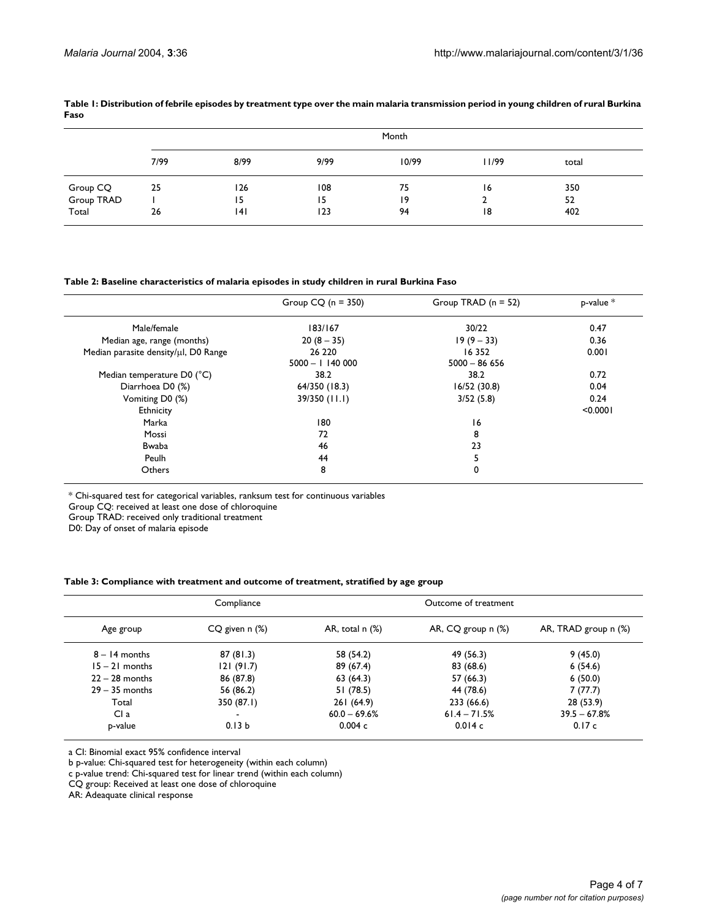|                        | Month |      |      |       |       |       |  |
|------------------------|-------|------|------|-------|-------|-------|--|
|                        | 7/99  | 8/99 | 9/99 | 10/99 | 11/99 | total |  |
|                        | 25    | 126  | 108  | 75    | 16    | 350   |  |
| Group CQ<br>Group TRAD |       | 15   | 15   | 19    |       | 52    |  |
| Total                  | 26    | 141  | 123  | 94    | 18    | 402   |  |

#### <span id="page-3-0"></span>**Table 1: Distribution of febrile episodes by treatment type over the main malaria transmission period in young children of rural Burkina Faso**

#### <span id="page-3-1"></span>**Table 2: Baseline characteristics of malaria episodes in study children in rural Burkina Faso**

|                                         | Group $CQ$ (n = 350)       | Group TRAD $(n = 52)$      | $p$ -value $*$ |
|-----------------------------------------|----------------------------|----------------------------|----------------|
| Male/female                             | 183/167                    | 30/22                      | 0.47           |
| Median age, range (months)              | $20(8-35)$                 | $19(9 - 33)$               | 0.36           |
| Median parasite density/µl, D0 Range    | 26 2 20<br>$5000 - 114000$ | 16 3 5 2<br>$5000 - 86656$ | 0.001          |
| Median temperature $D0$ ( $^{\circ}$ C) | 38.2                       | 38.2                       | 0.72           |
| Diarrhoea D0 (%)                        | 64/350 (18.3)              | 16/52(30.8)                | 0.04           |
| Vomiting D0 (%)                         | 39/350 (11.1)              | 3/52(5.8)                  | 0.24           |
| Ethnicity                               |                            |                            | < 0.0001       |
| Marka                                   | 180                        | 16                         |                |
| Mossi                                   | 72                         | 8                          |                |
| Bwaba                                   | 46                         | 23                         |                |
| Peulh                                   | 44                         | 5                          |                |
| Others                                  | 8                          | 0                          |                |

\* Chi-squared test for categorical variables, ranksum test for continuous variables

Group CQ: received at least one dose of chloroquine

Group TRAD: received only traditional treatment

D0: Day of onset of malaria episode

#### <span id="page-3-2"></span>**Table 3: Compliance with treatment and outcome of treatment, stratified by age group**

|                  | Compliance        |                   | Outcome of treatment |                      |
|------------------|-------------------|-------------------|----------------------|----------------------|
| Age group        | CQ given n (%)    | AR, total $n$ $%$ | AR, CQ group n (%)   | AR, TRAD group n (%) |
| $8 - 14$ months  | 87(81.3)          | 58 (54.2)         | 49 (56.3)            | 9(45.0)              |
| $15 - 21$ months | 121(91.7)         | 89 (67.4)         | 83 (68.6)            | 6(54.6)              |
| $22 - 28$ months | 86 (87.8)         | 63(64.3)          | 57 (66.3)            | 6(50.0)              |
| $29 - 35$ months | 56 (86.2)         | 51(78.5)          | 44 (78.6)            | 7(77.7)              |
| Total            | 350 (87.1)        | 261 (64.9)        | 233 (66.6)           | 28(53.9)             |
| Cl a             | $\blacksquare$    | $60.0 - 69.6%$    | $61.4 - 71.5%$       | $39.5 - 67.8%$       |
| p-value          | 0.13 <sub>b</sub> | 0.004c            | 0.014c               | 0.17c                |

a CI: Binomial exact 95% confidence interval

b p-value: Chi-squared test for heterogeneity (within each column)

c p-value trend: Chi-squared test for linear trend (within each column)

CQ group: Received at least one dose of chloroquine

AR: Adeaquate clinical response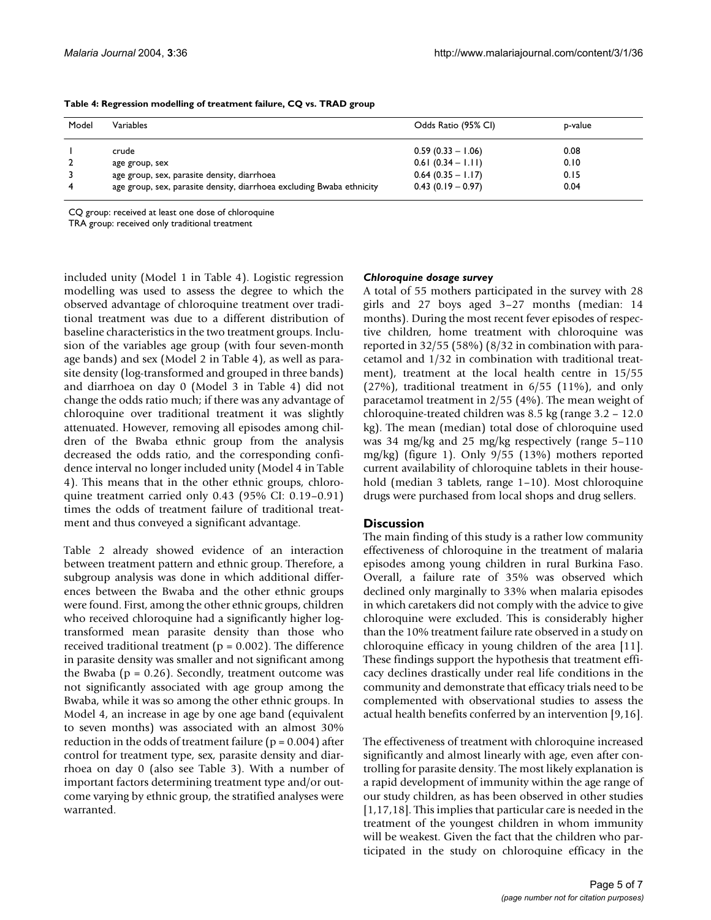| Model | Variables                                                             | Odds Ratio (95% CI) | p-value |
|-------|-----------------------------------------------------------------------|---------------------|---------|
|       | crude                                                                 | $0.59(0.33 - 1.06)$ | 0.08    |
|       | age group, sex                                                        | $0.61(0.34 - 1.11)$ | 0.10    |
|       | age group, sex, parasite density, diarrhoea                           | $0.64(0.35 - 1.17)$ | 0.15    |
| 4     | age group, sex, parasite density, diarrhoea excluding Bwaba ethnicity | $0.43(0.19 - 0.97)$ | 0.04    |

<span id="page-4-0"></span>**Table 4: Regression modelling of treatment failure, CQ vs. TRAD group**

CQ group: received at least one dose of chloroquine

TRA group: received only traditional treatment

included unity (Model 1 in Table [4](#page-4-0)). Logistic regression modelling was used to assess the degree to which the observed advantage of chloroquine treatment over traditional treatment was due to a different distribution of baseline characteristics in the two treatment groups. Inclusion of the variables age group (with four seven-month age bands) and sex (Model 2 in Table [4\)](#page-4-0), as well as parasite density (log-transformed and grouped in three bands) and diarrhoea on day 0 (Model 3 in Table [4](#page-4-0)) did not change the odds ratio much; if there was any advantage of chloroquine over traditional treatment it was slightly attenuated. However, removing all episodes among children of the Bwaba ethnic group from the analysis decreased the odds ratio, and the corresponding confidence interval no longer included unity (Model 4 in Table [4\)](#page-4-0). This means that in the other ethnic groups, chloroquine treatment carried only 0.43 (95% CI: 0.19–0.91) times the odds of treatment failure of traditional treatment and thus conveyed a significant advantage.

Table [2](#page-3-1) already showed evidence of an interaction between treatment pattern and ethnic group. Therefore, a subgroup analysis was done in which additional differences between the Bwaba and the other ethnic groups were found. First, among the other ethnic groups, children who received chloroquine had a significantly higher logtransformed mean parasite density than those who received traditional treatment ( $p = 0.002$ ). The difference in parasite density was smaller and not significant among the Bwaba ( $p = 0.26$ ). Secondly, treatment outcome was not significantly associated with age group among the Bwaba, while it was so among the other ethnic groups. In Model 4, an increase in age by one age band (equivalent to seven months) was associated with an almost 30% reduction in the odds of treatment failure ( $p = 0.004$ ) after control for treatment type, sex, parasite density and diarrhoea on day 0 (also see Table [3](#page-3-2)). With a number of important factors determining treatment type and/or outcome varying by ethnic group, the stratified analyses were warranted.

#### *Chloroquine dosage survey*

A total of 55 mothers participated in the survey with 28 girls and 27 boys aged 3–27 months (median: 14 months). During the most recent fever episodes of respective children, home treatment with chloroquine was reported in 32/55 (58%) (8/32 in combination with paracetamol and 1/32 in combination with traditional treatment), treatment at the local health centre in 15/55 (27%), traditional treatment in 6/55 (11%), and only paracetamol treatment in 2/55 (4%). The mean weight of chloroquine-treated children was 8.5 kg (range 3.2 – 12.0 kg). The mean (median) total dose of chloroquine used was 34 mg/kg and 25 mg/kg respectively (range 5–110 mg/kg) (figure 1). Only 9/55 (13%) mothers reported current availability of chloroquine tablets in their household (median 3 tablets, range 1-10). Most chloroquine drugs were purchased from local shops and drug sellers.

## **Discussion**

The main finding of this study is a rather low community effectiveness of chloroquine in the treatment of malaria episodes among young children in rural Burkina Faso. Overall, a failure rate of 35% was observed which declined only marginally to 33% when malaria episodes in which caretakers did not comply with the advice to give chloroquine were excluded. This is considerably higher than the 10% treatment failure rate observed in a study on chloroquine efficacy in young children of the area [11]. These findings support the hypothesis that treatment efficacy declines drastically under real life conditions in the community and demonstrate that efficacy trials need to be complemented with observational studies to assess the actual health benefits conferred by an intervention [9,16].

The effectiveness of treatment with chloroquine increased significantly and almost linearly with age, even after controlling for parasite density. The most likely explanation is a rapid development of immunity within the age range of our study children, as has been observed in other studies [1,17,18]. This implies that particular care is needed in the treatment of the youngest children in whom immunity will be weakest. Given the fact that the children who participated in the study on chloroquine efficacy in the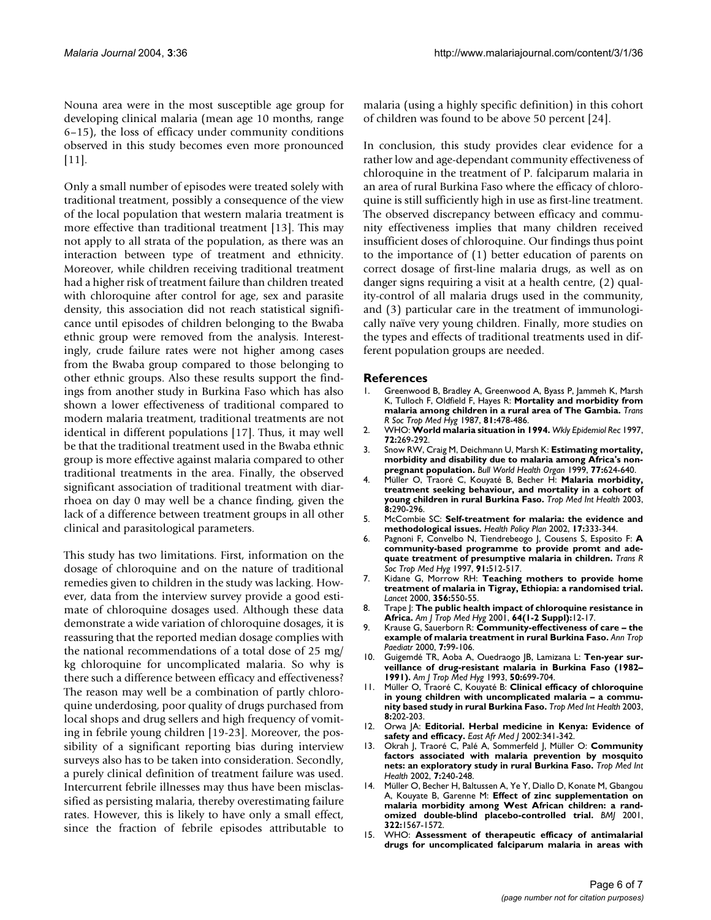Nouna area were in the most susceptible age group for developing clinical malaria (mean age 10 months, range 6–15), the loss of efficacy under community conditions observed in this study becomes even more pronounced [11].

Only a small number of episodes were treated solely with traditional treatment, possibly a consequence of the view of the local population that western malaria treatment is more effective than traditional treatment [13]. This may not apply to all strata of the population, as there was an interaction between type of treatment and ethnicity. Moreover, while children receiving traditional treatment had a higher risk of treatment failure than children treated with chloroquine after control for age, sex and parasite density, this association did not reach statistical significance until episodes of children belonging to the Bwaba ethnic group were removed from the analysis. Interestingly, crude failure rates were not higher among cases from the Bwaba group compared to those belonging to other ethnic groups. Also these results support the findings from another study in Burkina Faso which has also shown a lower effectiveness of traditional compared to modern malaria treatment, traditional treatments are not identical in different populations [17]. Thus, it may well be that the traditional treatment used in the Bwaba ethnic group is more effective against malaria compared to other traditional treatments in the area. Finally, the observed significant association of traditional treatment with diarrhoea on day 0 may well be a chance finding, given the lack of a difference between treatment groups in all other clinical and parasitological parameters.

This study has two limitations. First, information on the dosage of chloroquine and on the nature of traditional remedies given to children in the study was lacking. However, data from the interview survey provide a good estimate of chloroquine dosages used. Although these data demonstrate a wide variation of chloroquine dosages, it is reassuring that the reported median dosage complies with the national recommendations of a total dose of 25 mg/ kg chloroquine for uncomplicated malaria. So why is there such a difference between efficacy and effectiveness? The reason may well be a combination of partly chloroquine underdosing, poor quality of drugs purchased from local shops and drug sellers and high frequency of vomiting in febrile young children [19-23]. Moreover, the possibility of a significant reporting bias during interview surveys also has to be taken into consideration. Secondly, a purely clinical definition of treatment failure was used. Intercurrent febrile illnesses may thus have been misclassified as persisting malaria, thereby overestimating failure rates. However, this is likely to have only a small effect, since the fraction of febrile episodes attributable to

malaria (using a highly specific definition) in this cohort of children was found to be above 50 percent [24].

In conclusion, this study provides clear evidence for a rather low and age-dependant community effectiveness of chloroquine in the treatment of P. falciparum malaria in an area of rural Burkina Faso where the efficacy of chloroquine is still sufficiently high in use as first-line treatment. The observed discrepancy between efficacy and community effectiveness implies that many children received insufficient doses of chloroquine. Our findings thus point to the importance of (1) better education of parents on correct dosage of first-line malaria drugs, as well as on danger signs requiring a visit at a health centre, (2) quality-control of all malaria drugs used in the community, and (3) particular care in the treatment of immunologically naïve very young children. Finally, more studies on the types and effects of traditional treatments used in different population groups are needed.

#### **References**

- 1. Greenwood B, Bradley A, Greenwood A, Byass P, Jammeh K, Marsh K, Tulloch F, Oldfield F, Hayes R: **[Mortality and morbidity from](http://www.ncbi.nlm.nih.gov/entrez/query.fcgi?cmd=Retrieve&db=PubMed&dopt=Abstract&list_uids=3318021) [malaria among children in a rural area of The Gambia.](http://www.ncbi.nlm.nih.gov/entrez/query.fcgi?cmd=Retrieve&db=PubMed&dopt=Abstract&list_uids=3318021)** *Trans R Soc Trop Med Hyg* 1987, **81:**478-486.
- 2. WHO: **[World malaria situation in 1994.](http://www.ncbi.nlm.nih.gov/entrez/query.fcgi?cmd=Retrieve&db=PubMed&dopt=Abstract&list_uids=9293226)** *Wkly Epidemiol Rec* 1997, **72:**269-292.
- 3. Snow RW, Craig M, Deichmann U, Marsh K: **[Estimating mortality,](http://www.ncbi.nlm.nih.gov/entrez/query.fcgi?cmd=Retrieve&db=PubMed&dopt=Abstract&list_uids=10516785) [morbidity and disability due to malaria among Africa's non](http://www.ncbi.nlm.nih.gov/entrez/query.fcgi?cmd=Retrieve&db=PubMed&dopt=Abstract&list_uids=10516785)[pregnant population.](http://www.ncbi.nlm.nih.gov/entrez/query.fcgi?cmd=Retrieve&db=PubMed&dopt=Abstract&list_uids=10516785)** *Bull World Health Organ* 1999, **77:**624-640.
- 4. Müller O, Traoré C, Kouyaté B, Becher H: **[Malaria morbidity,](http://www.ncbi.nlm.nih.gov/entrez/query.fcgi?cmd=Retrieve&db=PubMed&dopt=Abstract&list_uids=12667146) [treatment seeking behaviour, and mortality in a cohort of](http://www.ncbi.nlm.nih.gov/entrez/query.fcgi?cmd=Retrieve&db=PubMed&dopt=Abstract&list_uids=12667146) [young children in rural Burkina Faso.](http://www.ncbi.nlm.nih.gov/entrez/query.fcgi?cmd=Retrieve&db=PubMed&dopt=Abstract&list_uids=12667146)** *Trop Med Int Health* 2003, **8:**290-296.
- 5. McCombie SC: **[Self-treatment for malaria: the evidence and](http://www.ncbi.nlm.nih.gov/entrez/query.fcgi?cmd=Retrieve&db=PubMed&dopt=Abstract&list_uids=12424205) [methodological issues.](http://www.ncbi.nlm.nih.gov/entrez/query.fcgi?cmd=Retrieve&db=PubMed&dopt=Abstract&list_uids=12424205)** *Health Policy Plan* 2002, **17:**333-344.
- 6. Pagnoni F, Convelbo N, Tiendrebeogo J, Cousens S, Esposito F: **[A](http://www.ncbi.nlm.nih.gov/entrez/query.fcgi?cmd=Retrieve&db=PubMed&dopt=Abstract&list_uids=9463653) [community-based programme to provide promt and ade](http://www.ncbi.nlm.nih.gov/entrez/query.fcgi?cmd=Retrieve&db=PubMed&dopt=Abstract&list_uids=9463653)[quate treatment of presumptive malaria in children.](http://www.ncbi.nlm.nih.gov/entrez/query.fcgi?cmd=Retrieve&db=PubMed&dopt=Abstract&list_uids=9463653)** *Trans R Soc Trop Med Hyg* 1997, **91:**512-517.
- 7. Kidane G, Morrow RH: **[Teaching mothers to provide home](http://www.ncbi.nlm.nih.gov/entrez/query.fcgi?cmd=Retrieve&db=PubMed&dopt=Abstract&list_uids=10950232) [treatment of malaria in Tigray, Ethiopia: a randomised trial.](http://www.ncbi.nlm.nih.gov/entrez/query.fcgi?cmd=Retrieve&db=PubMed&dopt=Abstract&list_uids=10950232)** *Lancet* 2000, **356:**550-55.
- 8. Trape J: **[The public health impact of chloroquine resistance in](http://www.ncbi.nlm.nih.gov/entrez/query.fcgi?cmd=Retrieve&db=PubMed&dopt=Abstract&list_uids=11425173) [Africa.](http://www.ncbi.nlm.nih.gov/entrez/query.fcgi?cmd=Retrieve&db=PubMed&dopt=Abstract&list_uids=11425173)** *Am J Trop Med Hyg* 2001, **64(1-2 Suppl):**12-17.
- 9. Krause G, Sauerborn R: **Community-effectiveness of care the example of malaria treatment in rural Burkina Faso.** *Ann Trop Paediatr* 2000, **7:**99-106.
- 10. Guigemdé TR, Aoba A, Ouedraogo JB, Lamizana L: **Ten-year surveillance of drug-resistant malaria in Burkina Faso (1982– 1991).** *Am J Trop Med Hyg* 1993, **50:**699-704.
- 11. Müller O, Traoré C, Kouyaté B: **[Clinical efficacy of chloroquine](http://www.ncbi.nlm.nih.gov/entrez/query.fcgi?cmd=Retrieve&db=PubMed&dopt=Abstract&list_uids=12631308) [in young children with uncomplicated malaria – a commu](http://www.ncbi.nlm.nih.gov/entrez/query.fcgi?cmd=Retrieve&db=PubMed&dopt=Abstract&list_uids=12631308)[nity based study in rural Burkina Faso.](http://www.ncbi.nlm.nih.gov/entrez/query.fcgi?cmd=Retrieve&db=PubMed&dopt=Abstract&list_uids=12631308)** *Trop Med Int Health* 2003, **8:**202-203.
- 12. Orwa JA: **[Editorial. Herbal medicine in Kenya: Evidence of](http://www.ncbi.nlm.nih.gov/entrez/query.fcgi?cmd=Retrieve&db=PubMed&dopt=Abstract&list_uids=12638826) [safety and efficacy.](http://www.ncbi.nlm.nih.gov/entrez/query.fcgi?cmd=Retrieve&db=PubMed&dopt=Abstract&list_uids=12638826)** *East Afr Med J* 2002:341-342.
- 13. Okrah J, Traoré C, Palé A, Sommerfeld J, Müller O: **[Community](http://www.ncbi.nlm.nih.gov/entrez/query.fcgi?cmd=Retrieve&db=PubMed&dopt=Abstract&list_uids=11903986) [factors associated with malaria prevention by mosquito](http://www.ncbi.nlm.nih.gov/entrez/query.fcgi?cmd=Retrieve&db=PubMed&dopt=Abstract&list_uids=11903986) [nets: an exploratory study in rural Burkina Faso.](http://www.ncbi.nlm.nih.gov/entrez/query.fcgi?cmd=Retrieve&db=PubMed&dopt=Abstract&list_uids=11903986)** *Trop Med Int Health* 2002, **7:**240-248.
- 14. Müller O, Becher H, Baltussen A, Ye Y, Diallo D, Konate M, Gbangou A, Kouyate B, Garenne M: **[Effect of zinc supplementation on](http://www.ncbi.nlm.nih.gov/entrez/query.fcgi?cmd=Retrieve&db=PubMed&dopt=Abstract&list_uids=11431296) [malaria morbidity among West African children: a rand](http://www.ncbi.nlm.nih.gov/entrez/query.fcgi?cmd=Retrieve&db=PubMed&dopt=Abstract&list_uids=11431296)[omized double-blind placebo-controlled trial.](http://www.ncbi.nlm.nih.gov/entrez/query.fcgi?cmd=Retrieve&db=PubMed&dopt=Abstract&list_uids=11431296)** *BMJ* 2001, **322:**1567-1572.
- 15. WHO: **Assessment of therapeutic efficacy of antimalarial drugs for uncomplicated falciparum malaria in areas with**